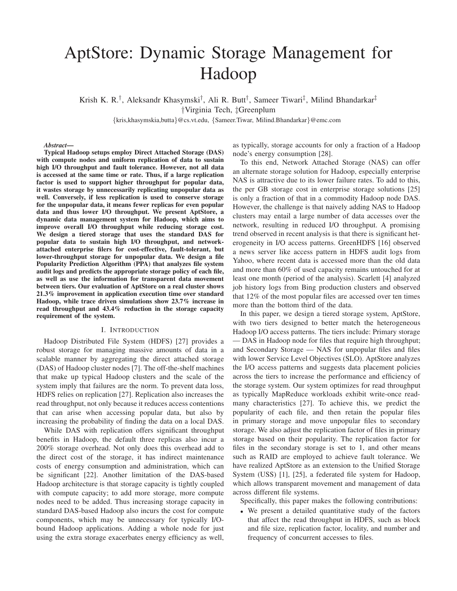# AptStore: Dynamic Storage Management for Hadoop

Krish K. R.<sup>†</sup>, Aleksandr Khasymski<sup>†</sup>, Ali R. Butt<sup>†</sup>, Sameer Tiwari<sup>‡</sup>, Milind Bhandarkar<sup>‡</sup> †Virginia Tech, ‡Greenplum

{kris,khasymskia,butta}@cs.vt.edu, {Sameer.Tiwar, Milind.Bhandarkar}@emc.com

#### *Abstract***—**

**Typical Hadoop setups employ Direct Attached Storage (DAS) with compute nodes and uniform replication of data to sustain high I/O throughput and fault tolerance. However, not all data is accessed at the same time or rate. Thus, if a large replication factor is used to support higher throughput for popular data, it wastes storage by unnecessarily replicating unpopular data as well. Conversely, if less replication is used to conserve storage for the unpopular data, it means fewer replicas for even popular data and thus lower I/O throughput. We present AptStore, a dynamic data management system for Hadoop, which aims to improve overall I/O throughput while reducing storage cost. We design a tiered storage that uses the standard DAS for popular data to sustain high I/O throughput, and networkattached enterprise filers for cost-effective, fault-tolerant, but lower-throughput storage for unpopular data. We design a file Popularity Prediction Algorithm (PPA) that analyzes file system audit logs and predicts the appropriate storage policy of each file, as well as use the information for transparent data movement between tiers. Our evaluation of AptStore on a real cluster shows 21.3% improvement in application execution time over standard Hadoop, while trace driven simulations show 23.7% increase in read throughput and 43.4% reduction in the storage capacity requirement of the system.**

## I. INTRODUCTION

Hadoop Distributed File System (HDFS) [27] provides a robust storage for managing massive amounts of data in a scalable manner by aggregating the direct attached storage (DAS) of Hadoop cluster nodes [7]. The off-the-shelf machines that make up typical Hadoop clusters and the scale of the system imply that failures are the norm. To prevent data loss, HDFS relies on replication [27]. Replication also increases the read throughput, not only because it reduces access contentions that can arise when accessing popular data, but also by increasing the probability of finding the data on a local DAS.

While DAS with replication offers significant throughput benefits in Hadoop, the default three replicas also incur a 200% storage overhead. Not only does this overhead add to the direct cost of the storage, it has indirect maintenance costs of energy consumption and administration, which can be significant [22]. Another limitation of the DAS-based Hadoop architecture is that storage capacity is tightly coupled with compute capacity; to add more storage, more compute nodes need to be added. Thus increasing storage capacity in standard DAS-based Hadoop also incurs the cost for compute components, which may be unnecessary for typically I/Obound Hadoop applications. Adding a whole node for just using the extra storage exacerbates energy efficiency as well, as typically, storage accounts for only a fraction of a Hadoop node's energy consumption [28].

To this end, Network Attached Storage (NAS) can offer an alternate storage solution for Hadoop, especially enterprise NAS is attractive due to its lower failure rates. To add to this, the per GB storage cost in enterprise storage solutions [25] is only a fraction of that in a commodity Hadoop node DAS. However, the challenge is that naively adding NAS to Hadoop clusters may entail a large number of data accesses over the network, resulting in reduced I/O throughput. A promising trend observed in recent analysis is that there is significant heterogeneity in I/O access patterns. GreenHDFS [16] observed a news server like access pattern in HDFS audit logs from Yahoo, where recent data is accessed more than the old data and more than 60% of used capacity remains untouched for at least one month (period of the analysis). Scarlett [4] analyzed job history logs from Bing production clusters and observed that 12% of the most popular files are accessed over ten times more than the bottom third of the data.

In this paper, we design a tiered storage system, AptStore, with two tiers designed to better match the heterogeneous Hadoop I/O access patterns. The tiers include: Primary storage — DAS in Hadoop node for files that require high throughput; and Secondary Storage — NAS for unpopular files and files with lower Service Level Objectives (SLO). AptStore analyzes the I/O access patterns and suggests data placement policies across the tiers to increase the performance and efficiency of the storage system. Our system optimizes for read throughput as typically MapReduce workloads exhibit write-once readmany characteristics [27]. To achieve this, we predict the popularity of each file, and then retain the popular files in primary storage and move unpopular files to secondary storage. We also adjust the replication factor of files in primary storage based on their popularity. The replication factor for files in the secondary storage is set to 1, and other means such as RAID are employed to achieve fault tolerance. We have realized AptStore as an extension to the Unified Storage System (USS) [1], [25], a federated file system for Hadoop, which allows transparent movement and management of data across different file systems.

Specifically, this paper makes the following contributions:

• We present a detailed quantitative study of the factors that affect the read throughput in HDFS, such as block and file size, replication factor, locality, and number and frequency of concurrent accesses to files.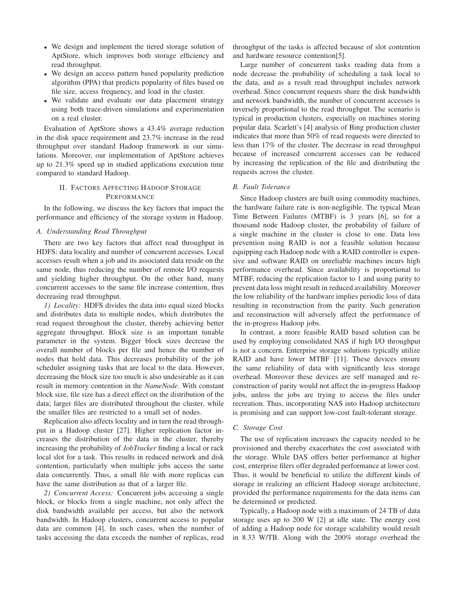- We design and implement the tiered storage solution of AptStore, which improves both storage efficiency and read throughput.
- We design an access pattern based popularity prediction algorithm (PPA) that predicts popularity of files based on file size, access frequency, and load in the cluster.
- We validate and evaluate our data placement strategy using both trace-driven simulations and experimentation on a real cluster.

Evaluation of AptStore shows a 43.4% average reduction in the disk space requirement and 23.7% increase in the read throughput over standard Hadoop framework in our simulations. Moreover, our implementation of AptStore achieves up to 21.3% speed up in studied applications execution time compared to standard Hadoop.

# II. FACTORS AFFECTING HADOOP STORAGE PERFORMANCE

In the following, we discuss the key factors that impact the performance and efficiency of the storage system in Hadoop.

# *A. Understanding Read Throughput*

There are two key factors that affect read throughput in HDFS: data locality and number of concurrent accesses. Local accesses result when a job and its associated data reside on the same node, thus reducing the number of remote I/O requests and yielding higher throughput. On the other hand, many concurrent accesses to the same file increase contention, thus decreasing read throughput.

*1) Locality:* HDFS divides the data into equal sized blocks and distributes data to multiple nodes, which distributes the read request throughout the cluster, thereby achieving better aggregate throughput. Block size is an important tunable parameter in the system. Bigger block sizes decrease the overall number of blocks per file and hence the number of nodes that hold data. This decreases probability of the job scheduler assigning tasks that are local to the data. However, decreasing the block size too much is also undesirable as it can result in memory contention in the *NameNode*. With constant block size, file size has a direct effect on the distribution of the data; larger files are distributed throughout the cluster, while the smaller files are restricted to a small set of nodes.

Replication also affects locality and in turn the read throughput in a Hadoop cluster [27]. Higher replication factor increases the distribution of the data in the cluster, thereby increasing the probability of *JobTracker* finding a local or rack local slot for a task. This results in reduced network and disk contention, particularly when multiple jobs access the same data concurrently. Thus, a small file with more replicas can have the same distribution as that of a larger file.

*2) Concurrent Access:* Concurrent jobs accessing a single block, or blocks from a single machine, not only affect the disk bandwidth available per access, but also the network bandwidth. In Hadoop clusters, concurrent access to popular data are common [4]. In such cases, when the number of tasks accessing the data exceeds the number of replicas, read

throughput of the tasks is affected because of slot contention and hardware resource contention[5].

Large number of concurrent tasks reading data from a node decrease the probability of scheduling a task local to the data, and as a result read throughput includes network overhead. Since concurrent requests share the disk bandwidth and network bandwidth, the number of concurrent accesses is inversely proportional to the read throughput. The scenario is typical in production clusters, especially on machines storing popular data. Scarlett's [4] analysis of Bing production cluster indicates that more than 50% of read requests were directed to less than 17% of the cluster. The decrease in read throughput because of increased concurrent accesses can be reduced by increasing the replication of the file and distributing the requests across the cluster.

# *B. Fault Tolerance*

Since Hadoop clusters are built using commodity machines, the hardware failure rate is non-negligible. The typical Mean Time Between Failures (MTBF) is 3 years [6], so for a thousand node Hadoop cluster, the probability of failure of a single machine in the cluster is close to one. Data loss prevention using RAID is not a feasible solution because equipping each Hadoop node with a RAID controller is expensive and software RAID on unreliable machines incurs high performance overhead. Since availability is proportional to MTBF, reducing the replication factor to 1 and using parity to prevent data loss might result in reduced availability. Moreover the low reliability of the hardware implies periodic loss of data resulting in reconstruction from the parity. Such generation and reconstruction will adversely affect the performance of the in-progress Hadoop jobs.

In contrast, a more feasible RAID based solution can be used by employing consolidated NAS if high I/O throughput is not a concern. Enterprise storage solutions typically utilize RAID and have lower MTBF [11]. These devices ensure the same reliability of data with significantly less storage overhead. Moreover these devices are self managed and reconstruction of parity would not affect the in-progress Hadoop jobs, unless the jobs are trying to access the files under recreation. Thus, incorporating NAS into Hadoop architecture is promising and can support low-cost fault-tolerant storage.

# *C. Storage Cost*

The use of replication increases the capacity needed to be provisioned and thereby exacerbates the cost associated with the storage. While DAS offers better performance at higher cost, enterprise filers offer degraded performance at lower cost. Thus, it would be beneficial to utilize the different kinds of storage in realizing an efficient Hadoop storage architecture, provided the performance requirements for the data items can be determined or predicted.

Typically, a Hadoop node with a maximum of 24 TB of data storage uses up to 200 W [2] at idle state. The energy cost of adding a Hadoop node for storage scalability would result in 8.33 W/TB. Along with the 200% storage overhead the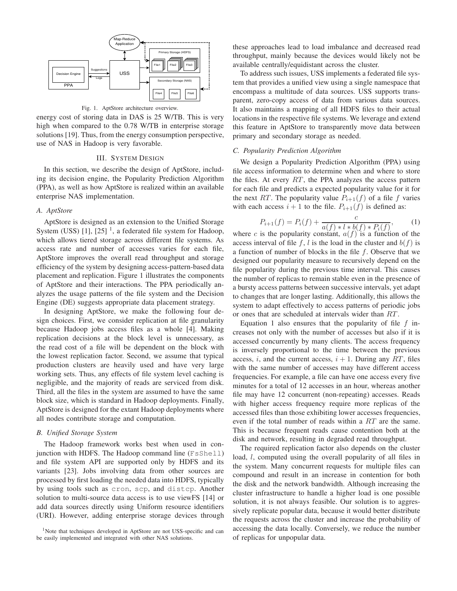



energy cost of storing data in DAS is 25 W/TB. This is very high when compared to the 0.78 W/TB in enterprise storage solutions [19]. Thus, from the energy consumption perspective, use of NAS in Hadoop is very favorable.

#### III. SYSTEM DESIGN

In this section, we describe the design of AptStore, including its decision engine, the Popularity Prediction Algorithm (PPA), as well as how AptStore is realized within an available enterprise NAS implementation.

# *A. AptStore*

AptStore is designed as an extension to the Unified Storage System (USS)  $[1]$ ,  $[25]$ <sup>1</sup>, a federated file system for Hadoop, which allows tiered storage across different file systems. As access rate and number of accesses varies for each file, AptStore improves the overall read throughput and storage efficiency of the system by designing access-pattern-based data placement and replication. Figure 1 illustrates the components of AptStore and their interactions. The PPA periodically analyzes the usage patterns of the file system and the Decision Engine (DE) suggests appropriate data placement strategy.

In designing AptStore, we make the following four design choices. First, we consider replication at file granularity because Hadoop jobs access files as a whole [4]. Making replication decisions at the block level is unnecessary, as the read cost of a file will be dependent on the block with the lowest replication factor. Second, we assume that typical production clusters are heavily used and have very large working sets. Thus, any effects of file system level caching is negligible, and the majority of reads are serviced from disk. Third, all the files in the system are assumed to have the same block size, which is standard in Hadoop deployments. Finally, AptStore is designed for the extant Hadoop deployments where all nodes contribute storage and computation.

## *B. Unified Storage System*

The Hadoop framework works best when used in conjunction with HDFS. The Hadoop command line (FsShell) and file system API are supported only by HDFS and its variants [23]. Jobs involving data from other sources are processed by first loading the needed data into HDFS, typically by using tools such as cron, scp, and distcp. Another solution to multi-source data access is to use viewFS [14] or add data sources directly using Uniform resource identifiers (URI). However, adding enterprise storage devices through these approaches lead to load imbalance and decreased read throughput, mainly because the devices would likely not be available centrally/equidistant across the cluster.

To address such issues, USS implements a federated file system that provides a unified view using a single namespace that encompass a multitude of data sources. USS supports transparent, zero-copy access of data from various data sources. It also maintains a mapping of all HDFS files to their actual locations in the respective file systems. We leverage and extend this feature in AptStore to transparently move data between primary and secondary storage as needed.

# *C. Popularity Prediction Algorithm*

We design a Popularity Prediction Algorithm (PPA) using file access information to determine when and where to store the files. At every  $RT$ , the PPA analyzes the access pattern for each file and predicts a expected popularity value for it for the next RT. The popularity value  $P_{i+1}(f)$  of a file f varies with each access  $i + 1$  to the file.  $P_{i+1}(f)$  is defined as:

$$
P_{i+1}(f) = P_i(f) + \frac{c}{a(f) * l * b(f) * P_i(f)},
$$
 (1)

where c is the popularity constant,  $a(f)$  is a function of the access interval of file f, l is the load in the cluster and  $b(f)$  is a function of number of blocks in the file f. Observe that we designed our popularity measure to recursively depend on the file popularity during the previous time interval. This causes the number of replicas to remain stable even in the presence of a bursty access patterns between successive intervals, yet adapt to changes that are longer lasting. Additionally, this allows the system to adapt effectively to access patterns of periodic jobs or ones that are scheduled at intervals wider than RT .

Equation 1 also ensures that the popularity of file  $f$  increases not only with the number of accesses but also if it is accessed concurrently by many clients. The access frequency is inversely proportional to the time between the previous access, i, and the current access,  $i + 1$ . During any RT, files with the same number of accesses may have different access frequencies. For example, a file can have one access every five minutes for a total of 12 accesses in an hour, whereas another file may have 12 concurrent (non-repeating) accesses. Reads with higher access frequency require more replicas of the accessed files than those exhibiting lower accesses frequencies, even if the total number of reads within a RT are the same. This is because frequent reads cause contention both at the disk and network, resulting in degraded read throughput.

The required replication factor also depends on the cluster load, l, computed using the overall popularity of all files in the system. Many concurrent requests for multiple files can compound and result in an increase in contention for both the disk and the network bandwidth. Although increasing the cluster infrastructure to handle a higher load is one possible solution, it is not always feasible. Our solution is to aggressively replicate popular data, because it would better distribute the requests across the cluster and increase the probability of accessing the data locally. Conversely, we reduce the number of replicas for unpopular data.

<sup>&</sup>lt;sup>1</sup>Note that techniques developed in AptStore are not USS-specific and can be easily implemented and integrated with other NAS solutions.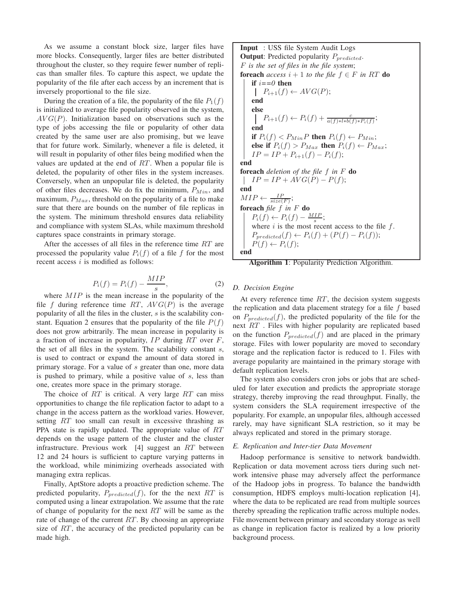As we assume a constant block size, larger files have more blocks. Consequently, larger files are better distributed throughout the cluster, so they require fewer number of replicas than smaller files. To capture this aspect, we update the popularity of the file after each access by an increment that is inversely proportional to the file size.

During the creation of a file, the popularity of the file  $P_1(f)$ is initialized to average file popularity observed in the system,  $AVG(P)$ . Initialization based on observations such as the type of jobs accessing the file or popularity of other data created by the same user are also promising, but we leave that for future work. Similarly, whenever a file is deleted, it will result in popularity of other files being modified when the values are updated at the end of  $RT$ . When a popular file is deleted, the popularity of other files in the system increases. Conversely, when an unpopular file is deleted, the popularity of other files decreases. We do fix the minimum,  $P_{Min}$ , and maximum,  $P_{Max}$ , threshold on the popularity of a file to make sure that there are bounds on the number of file replicas in the system. The minimum threshold ensures data reliability and compliance with system SLAs, while maximum threshold captures space constraints in primary storage.

After the accesses of all files in the reference time  $RT$  are processed the popularity value  $P_i(f)$  of a file f for the most recent access  $i$  is modified as follows:

$$
P_i(f) = P_i(f) - \frac{MIP}{s},\tag{2}
$$

where  $MIP$  is the mean increase in the popularity of the file f during reference time RT,  $AVG(P)$  is the average popularity of all the files in the cluster,  $s$  is the scalability constant. Equation 2 ensures that the popularity of the file  $P(f)$ does not grow arbitrarily. The mean increase in popularity is a fraction of increase in popularity,  $IP$  during  $RT$  over  $F$ , the set of all files in the system. The scalability constant  $s$ , is used to contract or expand the amount of data stored in primary storage. For a value of s greater than one, more data is pushed to primary, while a positive value of s, less than one, creates more space in the primary storage.

The choice of  $RT$  is critical. A very large  $RT$  can miss opportunities to change the file replication factor to adapt to a change in the access pattern as the workload varies. However, setting RT too small can result in excessive thrashing as PPA state is rapidly updated. The appropriate value of RT depends on the usage pattern of the cluster and the cluster infrastructure. Previous work [4] suggest an RT between 12 and 24 hours is sufficient to capture varying patterns in the workload, while minimizing overheads associated with managing extra replicas.

Finally, AptStore adopts a proactive prediction scheme. The predicted popularity,  $P_{predicted}(f)$ , for the the next RT is computed using a linear extrapolation. We assume that the rate of change of popularity for the next  $RT$  will be same as the rate of change of the current  $RT$ . By choosing an appropriate size of  $RT$ , the accuracy of the predicted popularity can be made high.

**Input** : USS file System Audit Logs **Output**: Predicted popularity  $P_{predicted}$ . F *is the set of files in the file system*; **foreach** *access*  $i + 1$  *to the file*  $f \in F$  *in* RT **do if**  $i = 0$  **then**  $P_{i+1}(f) \leftarrow AVG(P);$ **end else**  $P_{i+1}(f) \leftarrow P_i(f) + \frac{c}{a(f) * l * b(f) * P_i(f)};$ **end if**  $P_i(f) < P_{Min}P$  **then**  $P_i(f) \leftarrow P_{Min}$ ; **else if**  $P_i(f) > P_{Max}$  **then**  $P_i(f) \leftarrow P_{Max}$ ;  $IP = IP + P_{i+1}(f) - P_i(f);$ **end foreach** *deletion of the file* f *in* F **do**  $IP = IP + AVG(P) - P(f);$ **end**  $MIP \leftarrow \frac{IP}{size(F)}$ ; **foreach** *file*  $\hat{f}$  *in*  $F$  **do**  $P_i(f) \leftarrow P_i(f) - \frac{MIP}{s};$ where  $i$  is the most recent access to the file  $f$ .  $P_{predicted}(f) \leftarrow P_i(f) + (P(f) - P_i(f));$  $P(f) \leftarrow P_i(f);$ **end**

**Algorithm 1**: Popularity Prediction Algorithm.

## *D. Decision Engine*

At every reference time  $RT$ , the decision system suggests the replication and data placement strategy for a file  $f$  based on  $P_{predicted}(f)$ , the predicted popularity of the file for the next RT. Files with higher popularity are replicated based on the function  $P_{predicted}(f)$  and are placed in the primary storage. Files with lower popularity are moved to secondary storage and the replication factor is reduced to 1. Files with average popularity are maintained in the primary storage with default replication levels.

The system also considers cron jobs or jobs that are scheduled for later execution and predicts the appropriate storage strategy, thereby improving the read throughput. Finally, the system considers the SLA requirement irrespective of the popularity. For example, an unpopular files, although accessed rarely, may have significant SLA restriction, so it may be always replicated and stored in the primary storage.

## *E. Replication and Inter-tier Data Movement*

Hadoop performance is sensitive to network bandwidth. Replication or data movement across tiers during such network intensive phase may adversely affect the performance of the Hadoop jobs in progress. To balance the bandwidth consumption, HDFS employs multi-location replication [4], where the data to be replicated are read from multiple sources thereby spreading the replication traffic across multiple nodes. File movement between primary and secondary storage as well as change in replication factor is realized by a low priority background process.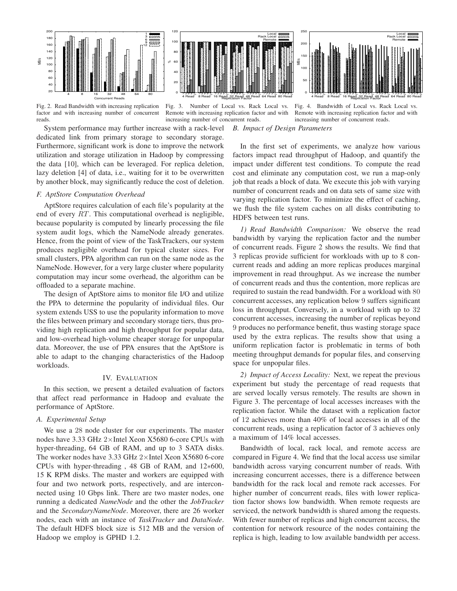

Fig. 2. Read Bandwidth with increasing replication factor and with increasing number of concurrent reads.

Fig. 3. Number of Local vs. Rack Local vs. Remote with increasing replication factor and with increasing number of concurrent reads.

Fig. 4. Bandwidth of Local vs. Rack Local vs. Remote with increasing replication factor and with increasing number of concurrent reads.

System performance may further increase with a rack-level dedicated link from primary storage to secondary storage. Furthermore, significant work is done to improve the network utilization and storage utilization in Hadoop by compressing the data [10], which can be leveraged. For replica deletion, lazy deletion [4] of data, i.e., waiting for it to be overwritten by another block, may significantly reduce the cost of deletion.

## *F. AptStore Computation Overhead*

AptStore requires calculation of each file's popularity at the end of every  $RT$ . This computational overhead is negligible, because popularity is computed by linearly processing the file system audit logs, which the NameNode already generates. Hence, from the point of view of the TaskTrackers, our system produces negligible overhead for typical cluster sizes. For small clusters, PPA algorithm can run on the same node as the NameNode. However, for a very large cluster where popularity computation may incur some overhead, the algorithm can be offloaded to a separate machine.

The design of AptStore aims to monitor file I/O and utilize the PPA to determine the popularity of individual files. Our system extends USS to use the popularity information to move the files between primary and secondary storage tiers, thus providing high replication and high throughput for popular data, and low-overhead high-volume cheaper storage for unpopular data. Moreover, the use of PPA ensures that the AptStore is able to adapt to the changing characteristics of the Hadoop workloads.

## IV. EVALUATION

In this section, we present a detailed evaluation of factors that affect read performance in Hadoop and evaluate the performance of AptStore.

## *A. Experimental Setup*

We use a 28 node cluster for our experiments. The master nodes have 3.33 GHz 2×Intel Xeon X5680 6-core CPUs with hyper-threading, 64 GB of RAM, and up to 3 SATA disks. The worker nodes have 3.33 GHz  $2\times$ Intel Xeon X5680 6-core CPUs with hyper-threading , 48 GB of RAM, and 12∗600, 15 K RPM disks. The master and workers are equipped with four and two network ports, respectively, and are interconnected using 10 Gbps link. There are two master nodes, one running a dedicated *NameNode* and the other the *JobTracker* and the *SecondaryNameNode*. Moreover, there are 26 worker nodes, each with an instance of *TaskTracker* and *DataNode*. The default HDFS block size is 512 MB and the version of Hadoop we employ is GPHD 1.2.

*B. Impact of Design Parameters*

In the first set of experiments, we analyze how various factors impact read throughput of Hadoop, and quantify the impact under different test conditions. To compute the read cost and eliminate any computation cost, we run a map-only job that reads a block of data. We execute this job with varying number of concurrent reads and on data sets of same size with varying replication factor. To minimize the effect of caching, we flush the file system caches on all disks contributing to HDFS between test runs.

*1) Read Bandwidth Comparison:* We observe the read bandwidth by varying the replication factor and the number of concurrent reads. Figure 2 shows the results. We find that 3 replicas provide sufficient for workloads with up to 8 concurrent reads and adding an more replicas produces marginal improvement in read throughput. As we increase the number of concurrent reads and thus the contention, more replicas are required to sustain the read bandwidth. For a workload with 80 concurrent accesses, any replication below 9 suffers significant loss in throughput. Conversely, in a workload with up to 32 concurrent accesses, increasing the number of replicas beyond 9 produces no performance benefit, thus wasting storage space used by the extra replicas. The results show that using a uniform replication factor is problematic in terms of both meeting throughput demands for popular files, and conserving space for unpopular files.

*2) Impact of Access Locality:* Next, we repeat the previous experiment but study the percentage of read requests that are served locally versus remotely. The results are shown in Figure 3. The percentage of local accesses increases with the replication factor. While the dataset with a replication factor of 12 achieves more than 40% of local accesses in all of the concurrent reads, using a replication factor of 3 achieves only a maximum of 14% local accesses.

Bandwidth of local, rack local, and remote access are compared in Figure 4. We find that the local access use similar bandwidth across varying concurrent number of reads. With increasing concurrent accesses, there is a difference between bandwidth for the rack local and remote rack accesses. For higher number of concurrent reads, files with lower replication factor shows low bandwidth. When remote requests are serviced, the network bandwidth is shared among the requests. With fewer number of replicas and high concurrent access, the contention for network resource of the nodes containing the replica is high, leading to low available bandwidth per access.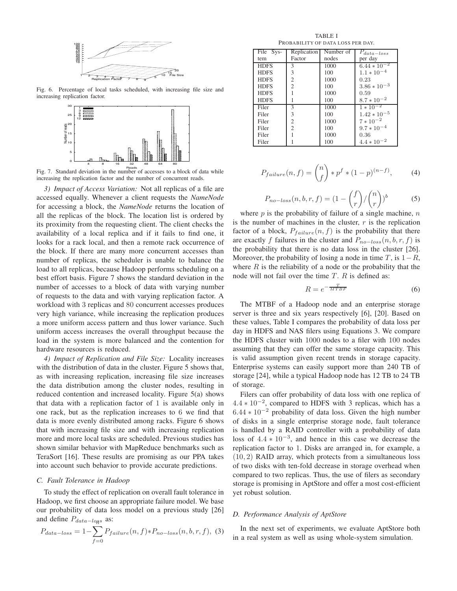

Fig. 6. Percentage of local tasks scheduled, with increasing file size and increasing replication factor.



Fig. 7. Standard deviation in the number of accesses to a block of data while increasing the replication factor and the number of concurrent reads.

*3) Impact of Access Variation:* Not all replicas of a file are accessed equally. Whenever a client requests the *NameNode* for accessing a block, the *NameNode* returns the location of all the replicas of the block. The location list is ordered by its proximity from the requesting client. The client checks the availability of a local replica and if it fails to find one, it looks for a rack local, and then a remote rack occurrence of the block. If there are many more concurrent accesses than number of replicas, the scheduler is unable to balance the load to all replicas, because Hadoop performs scheduling on a best effort basis. Figure 7 shows the standard deviation in the number of accesses to a block of data with varying number of requests to the data and with varying replication factor. A workload with 3 replicas and 80 concurrent accesses produces very high variance, while increasing the replication produces a more uniform access pattern and thus lower variance. Such uniform access increases the overall throughput because the load in the system is more balanced and the contention for hardware resources is reduced.

*4) Impact of Replication and File Size:* Locality increases with the distribution of data in the cluster. Figure 5 shows that, as with increasing replication, increasing file size increases the data distribution among the cluster nodes, resulting in reduced contention and increased locality. Figure 5(a) shows that data with a replication factor of 1 is available only in one rack, but as the replication increases to 6 we find that data is more evenly distributed among racks. Figure 6 shows that with increasing file size and with increasing replication more and more local tasks are scheduled. Previous studies has shown similar behavior with MapReduce benchmarks such as TeraSort [16]. These results are promising as our PPA takes into account such behavior to provide accurate predictions.

## *C. Fault Tolerance in Hadoop*

To study the effect of replication on overall fault tolerance in Hadoop, we first choose an appropriate failure model. We base our probability of data loss model on a previous study [26]

and define 
$$
P_{data-logs}
$$
 as:  
\n
$$
P_{data-loss} = 1 - \sum_{f=0} P_{failure}(n, f) * P_{no-loss}(n, b, r, f),
$$
\n(3)

TABLE I PROBABILITY OF DATA LOSS PER DAY.

| File Sys-   | Replication    | Number of | $P_{data-loss}$          |
|-------------|----------------|-----------|--------------------------|
| tem         | Factor         | nodes     | per day                  |
| <b>HDFS</b> | 3              | 1000      | $6.44 * 10^{-2}$         |
| <b>HDFS</b> | 3              | 100       | $1.1 * 10^{-4}$          |
| <b>HDFS</b> | $\overline{2}$ | 1000      | 0.23                     |
| <b>HDFS</b> | $\overline{c}$ | 100       | $3.86 * 10^{-3}$         |
| <b>HDFS</b> |                | 1000      | 0.59                     |
| <b>HDFS</b> |                | 100       | $8.7 * 10^{-2}$          |
| Filer       | 3              | 1000      | $1 * \overline{10^{-2}}$ |
| Filer       | 3              | 100       | $1.42 \times 10^{-5}$    |
| Filer       | $\overline{c}$ | 1000      | $7 * 10^{-2}$            |
| Filer       | $\mathfrak{D}$ | 100       | $9.7 * 10^{-4}$          |
| Filer       |                | 1000      | 0.36                     |
| Filer       |                | 100       | $4.4 * 10^{-2}$          |

$$
P_{failure}(n, f) = {n \choose f} * p^f * (1 - p)^{(n - f)}, \tag{4}
$$

$$
P_{no-loss}(n, b, r, f) = (1 - {f \choose r} / {n \choose r})^b \tag{5}
$$

where  $p$  is the probability of failure of a single machine,  $n$ is the number of machines in the cluster,  $r$  is the replication factor of a block,  $P_{failure}(n, f)$  is the probability that there are exactly f failures in the cluster and  $P_{no-loss}(n, b, r, f)$  is the probability that there is no data loss in the cluster [26]. Moreover, the probability of losing a node in time  $T$ , is  $1-R$ , where  $R$  is the reliability of a node or the probability that the node will not fail over the time  $T$ .  $R$  is defined as:

$$
R = e^{-\frac{T}{MTBF}} \tag{6}
$$

The MTBF of a Hadoop node and an enterprise storage server is three and six years respectively [6], [20]. Based on these values, Table I compares the probability of data loss per day in HDFS and NAS filers using Equations 3. We compare the HDFS cluster with 1000 nodes to a filer with 100 nodes assuming that they can offer the same storage capacity. This is valid assumption given recent trends in storage capacity. Enterprise systems can easily support more than 240 TB of storage [24], while a typical Hadoop node has 12 TB to 24 TB of storage.

Filers can offer probability of data loss with one replica of 4.4 ∗ 10−<sup>2</sup> , compared to HDFS with 3 replicas, which has a  $6.44 * 10^{-2}$  probability of data loss. Given the high number of disks in a single enterprise storage node, fault tolerance is handled by a RAID controller with a probability of data loss of  $4.4 * 10^{-3}$ , and hence in this case we decrease the replication factor to 1. Disks are arranged in, for example, a (10, 2) RAID array, which protects from a simultaneous loss of two disks with ten-fold decrease in storage overhead when compared to two replicas. Thus, the use of filers as secondary storage is promising in AptStore and offer a most cost-efficient yet robust solution.

## *D. Performance Analysis of AptStore*

In the next set of experiments, we evaluate AptStore both in a real system as well as using whole-system simulation.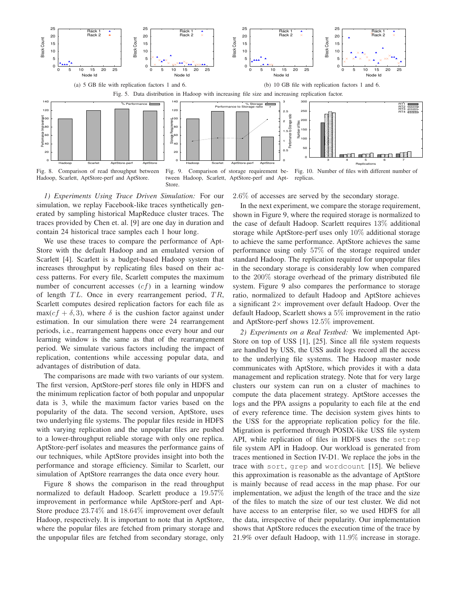

*1) Experiments Using Trace Driven Simulation:* For our simulation, we replay Facebook-like traces synthetically generated by sampling historical MapReduce cluster traces. The traces provided by Chen et. al. [9] are one day in duration and contain 24 historical trace samples each 1 hour long.

We use these traces to compare the performance of Apt-Store with the default Hadoop and an emulated version of Scarlett [4]. Scarlett is a budget-based Hadoop system that increases throughput by replicating files based on their access patterns. For every file, Scarlett computes the maximum number of concurrent accesses  $(cf)$  in a learning window of length  $TL$ . Once in every rearrangement period,  $TR$ , Scarlett computes desired replication factors for each file as max( $cf + \delta$ , 3), where  $\delta$  is the cushion factor against under estimation. In our simulation there were 24 rearrangement periods, i.e., rearrangement happens once every hour and our learning window is the same as that of the rearrangement period. We simulate various factors including the impact of replication, contentions while accessing popular data, and advantages of distribution of data.

The comparisons are made with two variants of our system. The first version, AptStore-perf stores file only in HDFS and the minimum replication factor of both popular and unpopular data is 3, while the maximum factor varies based on the popularity of the data. The second version, AptStore, uses two underlying file systems. The popular files reside in HDFS with varying replication and the unpopular files are pushed to a lower-throughput reliable storage with only one replica. AptStore-perf isolates and measures the performance gains of our techniques, while AptStore provides insight into both the performance and storage efficiency. Similar to Scarlett, our simulation of AptStore rearranges the data once every hour.

Figure 8 shows the comparison in the read throughput normalized to default Hadoop. Scarlett produce a 19.57% improvement in performance while AptStore-perf and Apt-Store produce 23.74% and 18.64% improvement over default Hadoop, respectively. It is important to note that in AptStore, where the popular files are fetched from primary storage and the unpopular files are fetched from secondary storage, only

## 2.6% of accesses are served by the secondary storage.

In the next experiment, we compare the storage requirement, shown in Figure 9, where the required storage is normalized to the case of default Hadoop. Scarlett requires 13% additional storage while AptStore-perf uses only 10% additional storage to achieve the same performance. AptStore achieves the same performance using only 57% of the storage required under standard Hadoop. The replication required for unpopular files in the secondary storage is considerably low when compared to the 200% storage overhead of the primary distributed file system. Figure 9 also compares the performance to storage ratio, normalized to default Hadoop and AptStore achieves a significant  $2 \times$  improvement over default Hadoop. Over the default Hadoop, Scarlett shows a 5% improvement in the ratio and AptStore-perf shows 12.5% improvement.

*2) Experiments on a Real Testbed:* We implemented Apt-Store on top of USS [1], [25]. Since all file system requests are handled by USS, the USS audit logs record all the access to the underlying file systems. The Hadoop master node communicates with AptStore, which provides it with a data management and replication strategy. Note that for very large clusters our system can run on a cluster of machines to compute the data placement strategy. AptStore accesses the logs and the PPA assigns a popularity to each file at the end of every reference time. The decision system gives hints to the USS for the appropriate replication policy for the file. Migration is performed through POSIX-like USS file system API, while replication of files in HDFS uses the setrep file system API in Hadoop. Our workload is generated from traces mentioned in Section IV-D1. We replace the jobs in the trace with sort, grep and wordcount [15]. We believe this approximation is reasonable as the advantage of AptStore is mainly because of read access in the map phase. For our implementation, we adjust the length of the trace and the size of the files to match the size of our test cluster. We did not have access to an enterprise filer, so we used HDFS for all the data, irrespective of their popularity. Our implementation shows that AptStore reduces the execution time of the trace by 21.9% over default Hadoop, with 11.9% increase in storage.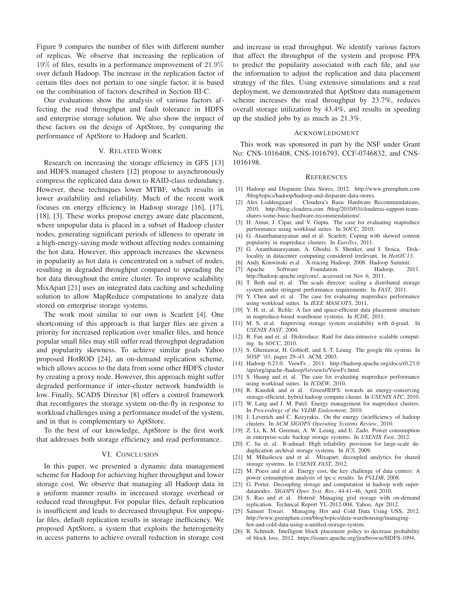Figure 9 compares the number of files with different number of replicas. We observe that increasing the replication of 19% of files, results in a performance improvement of 21.9% over default Hadoop. The increase in the replication factor of certain files does not pertain to one single factor, it is based on the combination of factors described in Section III-C.

Our evaluations show the analysis of various factors affecting the read throughput and fault tolerance in HDFS and enterprise storage solution. We also show the impact of these factors on the design of AptStore, by comparing the performance of AptStore to Hadoop and Scarlett.

## V. RELATED WORK

Research on increasing the storage efficiency in GFS [13] and HDFS managed clusters [12] propose to asynchronously compress the replicated data down to RAID-class redundancy. However, these techniques lower MTBF, which results in lower availability and reliability. Much of the recent work focuses on energy efficiency in Hadoop storage [16], [17], [18], [3]. These works propose energy aware date placement, where unpopular data is placed in a subset of Hadoop cluster nodes, generating significant periods of idleness to operate in a high-energy-saving mode without affecting nodes containing the hot data. However, this approach increases the skewness in popularity as hot data is concentrated on a subset of nodes, resulting in degraded throughput compared to spreading the hot data throughout the entire cluster. To improve scalability MixApart [21] uses an integrated data caching and scheduling solution to allow MapReduce computations to analyze data stored on enterprise storage systems.

The work most similar to our own is Scarlett [4]. One shortcoming of this approach is that larger files are given a priority for increased replication over smaller files, and hence popular small files may still suffer read throughput degradation and popularity skewness. To achieve similar goals Yahoo proposed HotROD [24], an on-demand replication scheme, which allows access to the data from some other HDFS cluster by creating a proxy node. However, this approach might suffer degraded performance if inter-cluster network bandwidth is low. Finally, SCADS Director [8] offers a control framework that reconfigures the storage system on-the-fly in response to workload challenges using a performance model of the system, and in that is complementary to AptStore.

To the best of our knowledge, AptStore is the first work that addresses both storage efficiency and read performance.

### VI. CONCLUSION

In this paper, we presented a dynamic data management scheme for Hadoop for achieving higher throughput and lower storage cost. We observe that managing all Hadoop data in a uniform manner results in increased storage overhead or reduced read throughput. For popular files, default replication is insufficient and leads to decreased throughput. For unpopular files, default replication results in storage inefficiency. We proposed AptStore, a system that exploits the heterogeneity in access patterns to achieve overall reduction in storage cost and increase in read throughput. We identify various factors that affect the throughput of the system and propose PPA to predict the popularity associated with each file, and use the information to adjust the replication and data placement strategy of the files. Using extensive simulations and a real deployment, we demonstrated that AptStore data management scheme increases the read throughput by 23.7%, reduces overall storage utilization by 43.4%, and results in speeding up the studied jobs by as much as 21.3%.

#### ACKNOWLEDGMENT

This work was sponsored in part by the NSF under Grant No: CNS-1016408, CNS-1016793, CCF-0746832, and CNS-1016198.

#### **REFERENCES**

- [1] Hadoop and Disparate Data Stores, 2012. http://www.greenplum.com /blog/topics/hadoop/hadoop-and-disparate-data-stores.
- [2] Alex Loddengaard . Cloudera's Basic Hardware Recommendations, 2010. http://blog.cloudera.com /blog/2010/03/clouderas-support-teamshares-some-basic-hardware-recommendations/.
- [3] H. Amur, J. Cipar, and V. Gupta. The case for evaluating mapreduce performance using workload suites. In *SOCC*, 2010.
- [4] G. Ananthanarayanan and et al. Scarlett: Coping with skewed content popularity in mapreduce clusters. In *EuroSys*, 2011.
- [5] G. Ananthanarayanan, A. Ghodsi, S. Shenker, and I. Stoica. Disklocality in datacenter computing considered irrelevant. In *HotOS'13*.
- [6] Andy Konwinski et.al . X-tracing Hadoop, 2008. Hadoop Summit.
- [7] Apache Software Foundation. Hadoop, 2011. http://hadoop.apache.org/core/, accessed on Nov 6, 2011.
- [8] T. Beth and et. al. The scads director: scaling a distributed storage system under stringent performance requirements. In *FAST*, 2011.
- [9] Y. Chen and et. al. The case for evaluating mapreduce performance using workload suites. In *IEEE MASCOTS*, 2011.
- [10] Y. H. et. al. Rcfile: A fast and space-efficient data placement structure in mapreduce-based warehouse systems. In *ICDE*, 2011.
- [11] M. S. et.al. Improving storage system availability with d-graid. In *USENIX FAST*, 2004.
- [12] B. Fan and et. al. Diskreduce: Raid for data-intensive scalable computing. In *SOCC*, 2010.
- [13] S. Ghemawat, H. Gobioff, and S.-T. Leung. The google file system. In *SOSP '03*, pages 29–43. ACM, 2003.
- [14] Hadoop 0.23.0. ViewFs , 2011. http://hadoop.apache.org/docs/r0.23.0 /api/org/apache-/hadoop/fs/viewfs/ViewFs.html.
- [15] S. Huang and et. al. The case for evaluating mapreduce performance using workload suites. In *ICDEW*, 2010.
- [16] R. Kaushik and et al. GreenHDFS: towards an energy-conserving storage-efficient, hybrid hadoop compute cluster. In *USENIX ATC*, 2010.
- [17] W. Lang and J. M. Patel. Energy management for mapreduce clusters. In *Proceedings of the VLDB Endowment*, 2010.
- [18] J. Leverich and C. Kozyrakis. On the energy (in)efficiency of hadoop clusters. In *ACM SIGOPS Operating Systems Review*, 2010.
- [19] Z. Li, K. M. Greenan, A. W. Leung, and E. Zado. Power consumption in enterprise-scale backup storage systems. In *USENIX Fast*, 2012.
- [20] C. liu et. al. R-admad: High reliability provision for large-scale deduplication archival storage systems. In *ICS*, 2009.
- [21] M. Mihailescu and et al. Mixapart: decoupled analytics for shared storage systems. In *USENIX FAST*, 2012.
- [22] M. Poess and et al. Energy cost, the key challenge of data centers: A power consumption analysis of tpc-c results. In *PVLDB*, 2008.
- [23] G. Porter. Decoupling storage and computation in hadoop with superdatanodes. *SIGOPS Oper. Syst. Rev.*, 44:41–46, April 2010.
- [24] S. Rao and et al. Hotrod: Managing grid storage with on-demand replication. Technical Report YL-2012-004, Yahoo, Apr 2012.
- [25] Sameer Tiwari. Managing Hot and Cold Data Using USS, 2012. http://www.greenplum.com/blog/topics/data-warehousing/managinghot-and-cold-data-using-a-unified-storage-system.
- [26] R. Schmidt. Intelligent block placement policy to decrease probability of block loss, 2012. https://issues.apache.org/jira/browse/HDFS-1094.